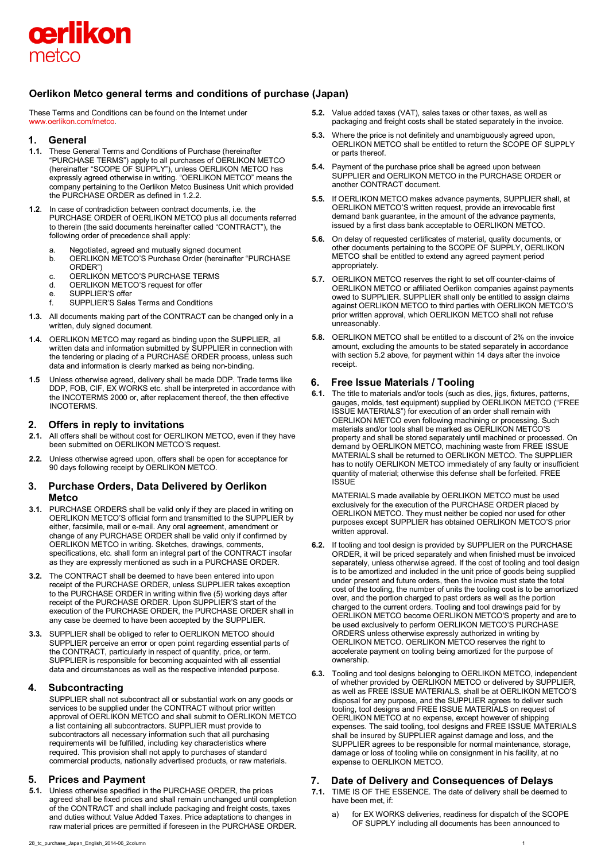

# **Oerlikon Metco general terms and conditions of purchase (Japan)**

These Terms and Conditions can be found on the Internet under [www.oerlikon.com/metco.](http://www.oerlikon.com/metco)

# **1. General**

- **1.1.** These General Terms and Conditions of Purchase (hereinafter "PURCHASE TERMS") apply to all purchases of OERLIKON METCO (hereinafter "SCOPE OF SUPPLY"), unless OERLIKON METCO has expressly agreed otherwise in writing. "OERLIKON METCO" means the company pertaining to the Oerlikon Metco Business Unit which provided the PURCHASE ORDER as defined in 1.2.2.
- **1.2**. In case of contradiction between contract documents, i.e. the PURCHASE ORDER of OERLIKON METCO plus all documents referred to therein (the said documents hereinafter called "CONTRACT"), the following order of precedence shall apply:
	- a. Negotiated, agreed and mutually signed document
	- b. OERLIKON METCO'S Purchase Order (hereinafter "PURCHASE ORDER")
	- c. OERLIKON METCO'S PURCHASE TERMS<br>d. OFRI IKON METCO'S request for offer
	- d. OERLIKON METCO'S request for offer<br>e. SUPPLIER'S offer
	- e. SUPPLIER'S offer<br>f SUPPLIER'S Sale
	- SUPPLIER'S Sales Terms and Conditions
- **1.3.** All documents making part of the CONTRACT can be changed only in a written, duly signed document.
- **1.4.** OERLIKON METCO may regard as binding upon the SUPPLIER, all written data and information submitted by SUPPLIER in connection with the tendering or placing of a PURCHASE ORDER process, unless such data and information is clearly marked as being non-binding.
- **1.5** Unless otherwise agreed, delivery shall be made DDP. Trade terms like DDP, FOB, CIF, EX WORKS etc. shall be interpreted in accordance with the INCOTERMS 2000 or, after replacement thereof, the then effective INCOTERMS.

# **2. Offers in reply to invitations**

- **2.1.** All offers shall be without cost for OERLIKON METCO, even if they have been submitted on OERLIKON METCO'S request.
- **2.2.** Unless otherwise agreed upon, offers shall be open for acceptance for 90 days following receipt by OERLIKON METCO.

## **3. Purchase Orders, Data Delivered by Oerlikon Metco**

- **3.1.** PURCHASE ORDERS shall be valid only if they are placed in writing on OERLIKON METCO'S official form and transmitted to the SUPPLIER by either, facsimile, mail or e-mail. Any oral agreement, amendment or change of any PURCHASE ORDER shall be valid only if confirmed by OERLIKON METCO in writing. Sketches, drawings, comments, specifications, etc. shall form an integral part of the CONTRACT insofar as they are expressly mentioned as such in a PURCHASE ORDER.
- **3.2.** The CONTRACT shall be deemed to have been entered into upon receipt of the PURCHASE ORDER, unless SUPPLIER takes exception to the PURCHASE ORDER in writing within five (5) working days after receipt of the PURCHASE ORDER. Upon SUPPLIER'S start of the execution of the PURCHASE ORDER, the PURCHASE ORDER shall in any case be deemed to have been accepted by the SUPPLIER.
- **3.3.** SUPPLIER shall be obliged to refer to OERLIKON METCO should SUPPLIER perceive an error or open point regarding essential parts of the CONTRACT, particularly in respect of quantity, price, or term. SUPPLIER is responsible for becoming acquainted with all essential data and circumstances as well as the respective intended purpose.

# **4. Subcontracting**

SUPPLIER shall not subcontract all or substantial work on any goods or services to be supplied under the CONTRACT without prior written approval of OERLIKON METCO and shall submit to OERLIKON METCO a list containing all subcontractors. SUPPLIER must provide to subcontractors all necessary information such that all purchasing requirements will be fulfilled, including key characteristics where required. This provision shall not apply to purchases of standard commercial products, nationally advertised products, or raw materials.

# **5. Prices and Payment**

- **5.1.** Unless otherwise specified in the PURCHASE ORDER, the prices agreed shall be fixed prices and shall remain unchanged until completion of the CONTRACT and shall include packaging and freight costs, taxes and duties without Value Added Taxes. Price adaptations to changes in raw material prices are permitted if foreseen in the PURCHASE ORDER.
- 28\_tc\_purchase\_Japan\_English\_2014-06\_2column 1
- **5.2.** Value added taxes (VAT), sales taxes or other taxes, as well as packaging and freight costs shall be stated separately in the invoice.
- **5.3.** Where the price is not definitely and unambiguously agreed upon, OERLIKON METCO shall be entitled to return the SCOPE OF SUPPLY or parts thereof.
- **5.4.** Payment of the purchase price shall be agreed upon between SUPPLIER and OERLIKON METCO in the PURCHASE ORDER or another CONTRACT document.
- **5.5.** If OERLIKON METCO makes advance payments, SUPPLIER shall, at OERLIKON METCO'S written request, provide an irrevocable first demand bank guarantee, in the amount of the advance payments, issued by a first class bank acceptable to OERLIKON METCO.
- **5.6.** On delay of requested certificates of material, quality documents, or other documents pertaining to the SCOPE OF SUPPLY, OERLIKON METCO shall be entitled to extend any agreed payment period appropriately.
- **5.7.** OERLIKON METCO reserves the right to set off counter-claims of OERLIKON METCO or affiliated Oerlikon companies against payments owed to SUPPLIER. SUPPLIER shall only be entitled to assign claims against OERLIKON METCO to third parties with OERLIKON METCO'S prior written approval, which OERLIKON METCO shall not refuse unreasonably.
- **5.8.** OERLIKON METCO shall be entitled to a discount of 2% on the invoice amount, excluding the amounts to be stated separately in accordance with section 5.2 above, for payment within 14 days after the invoice receipt.

# **6. Free Issue Materials / Tooling**

**6.1.** The title to materials and/or tools (such as dies, jigs, fixtures, patterns, gauges, molds, test equipment) supplied by OERLIKON METCO ("FREE ISSUE MATERIALS") for execution of an order shall remain with OERLIKON METCO even following machining or processing. Such materials and/or tools shall be marked as OERLIKON METCO'S property and shall be stored separately until machined or processed. On demand by OERLIKON METCO, machining waste from FREE ISSUE MATERIALS shall be returned to OERLIKON METCO. The SUPPLIER has to notify OERLIKON METCO immediately of any faulty or insufficient quantity of material; otherwise this defense shall be forfeited. FREE **ISSUE** 

MATERIALS made available by OERLIKON METCO must be used exclusively for the execution of the PURCHASE ORDER placed by OERLIKON METCO. They must neither be copied nor used for other purposes except SUPPLIER has obtained OERLIKON METCO'S prior written approval.

- **6.2.** If tooling and tool design is provided by SUPPLIER on the PURCHASE ORDER, it will be priced separately and when finished must be invoiced separately, unless otherwise agreed. If the cost of tooling and tool design is to be amortized and included in the unit price of goods being supplied under present and future orders, then the invoice must state the total cost of the tooling, the number of units the tooling cost is to be amortized over, and the portion charged to past orders as well as the portion charged to the current orders. Tooling and tool drawings paid for by OERLIKON METCO become OERLIKON METCO'S property and are to be used exclusively to perform OERLIKON METCO'S PURCHASE ORDERS unless otherwise expressly authorized in writing by OERLIKON METCO. OERLIKON METCO reserves the right to accelerate payment on tooling being amortized for the purpose of ownership.
- **6.3.** Tooling and tool designs belonging to OERLIKON METCO, independent of whether provided by OERLIKON METCO or delivered by SUPPLIER, as well as FREE ISSUE MATERIALS, shall be at OERLIKON METCO'S disposal for any purpose, and the SUPPLIER agrees to deliver such tooling, tool designs and FREE ISSUE MATERIALS on request of OERLIKON METCO at no expense, except however of shipping expenses. The said tooling, tool designs and FREE ISSUE MATERIALS shall be insured by SUPPLIER against damage and loss, and the SUPPLIER agrees to be responsible for normal maintenance, storage, damage or loss of tooling while on consignment in his facility, at no expense to OERLIKON METCO.

# **7. Date of Delivery and Consequences of Delays**

- **7.1.** TIME IS OF THE ESSENCE. The date of delivery shall be deemed to have been met, if:
	- for EX WORKS deliveries, readiness for dispatch of the SCOPE OF SUPPLY including all documents has been announced to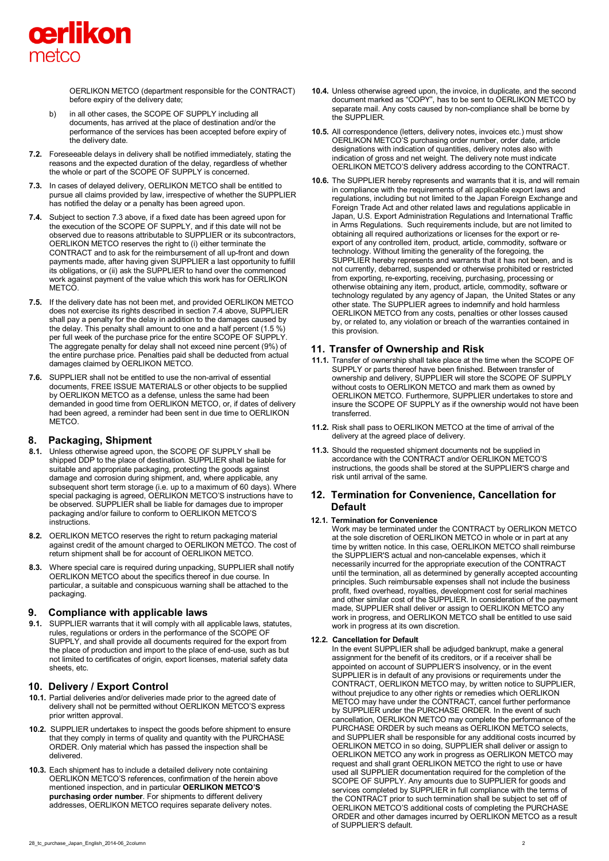

OERLIKON METCO (department responsible for the CONTRACT) before expiry of the delivery date;

- b) in all other cases, the SCOPE OF SUPPLY including all documents, has arrived at the place of destination and/or the performance of the services has been accepted before expiry of the delivery date.
- **7.2.** Foreseeable delays in delivery shall be notified immediately, stating the reasons and the expected duration of the delay, regardless of whether the whole or part of the SCOPE OF SUPPLY is concerned.
- **7.3.** In cases of delayed delivery, OERLIKON METCO shall be entitled to pursue all claims provided by law, irrespective of whether the SUPPLIER has notified the delay or a penalty has been agreed upon.
- **7.4.** Subject to section 7.3 above, if a fixed date has been agreed upon for the execution of the SCOPE OF SUPPLY, and if this date will not be observed due to reasons attributable to SUPPLIER or its subcontractors, OERLIKON METCO reserves the right to (i) either terminate the CONTRACT and to ask for the reimbursement of all up-front and down payments made, after having given SUPPLIER a last opportunity to fulfill its obligations, or (ii) ask the SUPPLIER to hand over the commenced work against payment of the value which this work has for OERLIKON **METCO**
- **7.5.** If the delivery date has not been met, and provided OERLIKON METCO does not exercise its rights described in section 7.4 above, SUPPLIER shall pay a penalty for the delay in addition to the damages caused by the delay. This penalty shall amount to one and a half percent (1.5 %) per full week of the purchase price for the entire SCOPE OF SUPPLY. The aggregate penalty for delay shall not exceed nine percent (9%) of the entire purchase price. Penalties paid shall be deducted from actual damages claimed by OERLIKON METCO.
- **7.6.** SUPPLIER shall not be entitled to use the non-arrival of essential documents, FREE ISSUE MATERIALS or other objects to be supplied by OERLIKON METCO as a defense, unless the same had been demanded in good time from OERLIKON METCO, or, if dates of delivery had been agreed, a reminder had been sent in due time to OERLIKON METCO.

## **8. Packaging, Shipment**

- **8.1.** Unless otherwise agreed upon, the SCOPE OF SUPPLY shall be shipped DDP to the place of destination. SUPPLIER shall be liable for suitable and appropriate packaging, protecting the goods against damage and corrosion during shipment, and, where applicable, any subsequent short term storage (i.e. up to a maximum of 60 days). Where special packaging is agreed, OERLIKON METCO'S instructions have to be observed. SUPPLIER shall be liable for damages due to improper packaging and/or failure to conform to OERLIKON METCO'S instructions.
- **8.2.** OERLIKON METCO reserves the right to return packaging material against credit of the amount charged to OERLIKON METCO. The cost of return shipment shall be for account of OERLIKON METCO.
- **8.3.** Where special care is required during unpacking, SUPPLIER shall notify OERLIKON METCO about the specifics thereof in due course. In particular, a suitable and conspicuous warning shall be attached to the packaging.

## **9. Compliance with applicable laws**

**9.1.** SUPPLIER warrants that it will comply with all applicable laws, statutes, rules, regulations or orders in the performance of the SCOPE OF SUPPLY, and shall provide all documents required for the export from the place of production and import to the place of end-use, such as but not limited to certificates of origin, export licenses, material safety data sheets, etc.

# **10. Delivery / Export Control**

- **10.1.** Partial deliveries and/or deliveries made prior to the agreed date of delivery shall not be permitted without OERLIKON METCO'S express prior written approval.
- **10.2.** SUPPLIER undertakes to inspect the goods before shipment to ensure that they comply in terms of quality and quantity with the PURCHASE ORDER. Only material which has passed the inspection shall be delivered.
- **10.3.** Each shipment has to include a detailed delivery note containing OERLIKON METCO'S references, confirmation of the herein above mentioned inspection, and in particular **OERLIKON METCO'S purchasing order number**. For shipments to different delivery addresses, OERLIKON METCO requires separate delivery notes.
- **10.4.** Unless otherwise agreed upon, the invoice, in duplicate, and the second document marked as "COPY", has to be sent to OERLIKON METCO by separate mail. Any costs caused by non-compliance shall be borne by the SUPPLIER.
- **10.5.** All correspondence (letters, delivery notes, invoices etc.) must show OERLIKON METCO'S purchasing order number, order date, article designations with indication of quantities, delivery notes also with indication of gross and net weight. The delivery note must indicate OERLIKON METCO'S delivery address according to the CONTRACT.
- **10.6.** The SUPPLIER hereby represents and warrants that it is, and will remain in compliance with the requirements of all applicable export laws and regulations, including but not limited to the Japan Foreign Exchange and Foreign Trade Act and other related laws and regulations applicable in Japan, U.S. Export Administration Regulations and International Traffic in Arms Regulations. Such requirements include, but are not limited to obtaining all required authorizations or licenses for the export or reexport of any controlled item, product, article, commodity, software or technology. Without limiting the generality of the foregoing, the SUPPLIER hereby represents and warrants that it has not been, and is not currently, debarred, suspended or otherwise prohibited or restricted from exporting, re-exporting, receiving, purchasing, processing or otherwise obtaining any item, product, article, commodity, software or technology regulated by any agency of Japan, the United States or any other state. The SUPPLIER agrees to indemnify and hold harmless OERLIKON METCO from any costs, penalties or other losses caused by, or related to, any violation or breach of the warranties contained in this provision.

# **11. Transfer of Ownership and Risk**

- **11.1.** Transfer of ownership shall take place at the time when the SCOPE OF SUPPLY or parts thereof have been finished. Between transfer of ownership and delivery, SUPPLIER will store the SCOPE OF SUPPLY without costs to OERLIKON METCO and mark them as owned by OERLIKON METCO. Furthermore, SUPPLIER undertakes to store and insure the SCOPE OF SUPPLY as if the ownership would not have been transferred.
- **11.2.** Risk shall pass to OERLIKON METCO at the time of arrival of the delivery at the agreed place of delivery.
- **11.3.** Should the requested shipment documents not be supplied in accordance with the CONTRACT and/or OERLIKON METCO'S instructions, the goods shall be stored at the SUPPLIER'S charge and risk until arrival of the same.

# **12. Termination for Convenience, Cancellation for Default**

#### **12.1. Termination for Convenience**

Work may be terminated under the CONTRACT by OERLIKON METCO at the sole discretion of OERLIKON METCO in whole or in part at any time by written notice. In this case, OERLIKON METCO shall reimburse the SUPPLIER'S actual and non-cancelable expenses, which it necessarily incurred for the appropriate execution of the CONTRACT until the termination, all as determined by generally accepted accounting principles. Such reimbursable expenses shall not include the business profit, fixed overhead, royalties, development cost for serial machines and other similar cost of the SUPPLIER. In consideration of the payment made, SUPPLIER shall deliver or assign to OERLIKON METCO any work in progress, and OERLIKON METCO shall be entitled to use said work in progress at its own discretion.

#### **12.2. Cancellation for Default**

In the event SUPPLIER shall be adjudged bankrupt, make a general assignment for the benefit of its creditors, or if a receiver shall be appointed on account of SUPPLIER'S insolvency, or in the event SUPPLIER is in default of any provisions or requirements under the CONTRACT, OERLIKON METCO may, by written notice to SUPPLIER, without prejudice to any other rights or remedies which OERLIKON METCO may have under the CONTRACT, cancel further performance by SUPPLIER under the PURCHASE ORDER. In the event of such cancellation, OERLIKON METCO may complete the performance of the PURCHASE ORDER by such means as OERLIKON METCO selects, and SUPPLIER shall be responsible for any additional costs incurred by OERLIKON METCO in so doing, SUPPLIER shall deliver or assign to OERLIKON METCO any work in progress as OERLIKON METCO may request and shall grant OERLIKON METCO the right to use or have used all SUPPLIER documentation required for the completion of the SCOPE OF SUPPLY. Any amounts due to SUPPLIER for goods and services completed by SUPPLIER in full compliance with the terms of the CONTRACT prior to such termination shall be subject to set off of OERLIKON METCO'S additional costs of completing the PURCHASE ORDER and other damages incurred by OERLIKON METCO as a result of SUPPLIER'S default.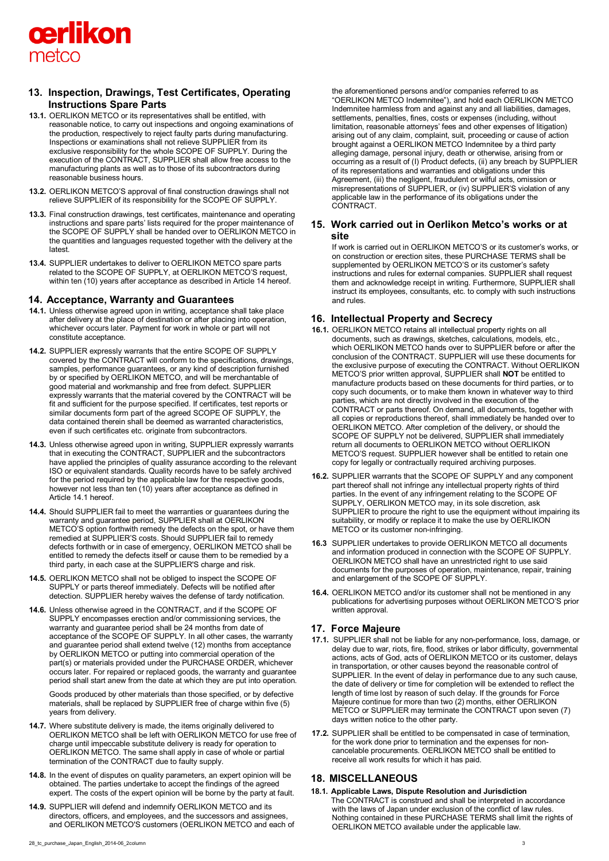

# **13. Inspection, Drawings, Test Certificates, Operating Instructions Spare Parts**

- **13.1.** OERLIKON METCO or its representatives shall be entitled, with reasonable notice, to carry out inspections and ongoing examinations of the production, respectively to reject faulty parts during manufacturing. Inspections or examinations shall not relieve SUPPLIER from its exclusive responsibility for the whole SCOPE OF SUPPLY. During the execution of the CONTRACT, SUPPLIER shall allow free access to the manufacturing plants as well as to those of its subcontractors during reasonable business hours.
- **13.2.** OERLIKON METCO'S approval of final construction drawings shall not relieve SUPPLIER of its responsibility for the SCOPE OF SUPPLY.
- **13.3.** Final construction drawings, test certificates, maintenance and operating instructions and spare parts' lists required for the proper maintenance of the SCOPE OF SUPPLY shall be handed over to OERLIKON METCO in the quantities and languages requested together with the delivery at the latest.
- **13.4.** SUPPLIER undertakes to deliver to OERLIKON METCO spare parts related to the SCOPE OF SUPPLY, at OERLIKON METCO'S request, within ten (10) years after acceptance as described in Article 14 hereof.

## **14. Acceptance, Warranty and Guarantees**

- **14.1.** Unless otherwise agreed upon in writing, acceptance shall take place after delivery at the place of destination or after placing into operation, whichever occurs later. Payment for work in whole or part will not constitute acceptance.
- **14.2.** SUPPLIER expressly warrants that the entire SCOPE OF SUPPLY covered by the CONTRACT will conform to the specifications, drawings, samples, performance guarantees, or any kind of description furnished by or specified by OERLIKON METCO, and will be merchantable of good material and workmanship and free from defect. SUPPLIER expressly warrants that the material covered by the CONTRACT will be fit and sufficient for the purpose specified. If certificates, test reports or similar documents form part of the agreed SCOPE OF SUPPLY, the data contained therein shall be deemed as warranted characteristics, even if such certificates etc. originate from subcontractors.
- **14.3.** Unless otherwise agreed upon in writing, SUPPLIER expressly warrants that in executing the CONTRACT, SUPPLIER and the subcontractors have applied the principles of quality assurance according to the relevant ISO or equivalent standards. Quality records have to be safely archived for the period required by the applicable law for the respective goods, however not less than ten (10) years after acceptance as defined in Article 14.1 hereof.
- **14.4.** Should SUPPLIER fail to meet the warranties or guarantees during the warranty and guarantee period, SUPPLIER shall at OERLIKON METCO'S option forthwith remedy the defects on the spot, or have them remedied at SUPPLIER'S costs. Should SUPPLIER fail to remedy defects forthwith or in case of emergency, OERLIKON METCO shall be entitled to remedy the defects itself or cause them to be remedied by a third party, in each case at the SUPPLIER'S charge and risk.
- **14.5.** OERLIKON METCO shall not be obliged to inspect the SCOPE OF SUPPLY or parts thereof immediately. Defects will be notified after detection. SUPPLIER hereby waives the defense of tardy notification.
- **14.6.** Unless otherwise agreed in the CONTRACT, and if the SCOPE OF SUPPLY encompasses erection and/or commissioning services, the warranty and guarantee period shall be 24 months from date of acceptance of the SCOPE OF SUPPLY. In all other cases, the warranty and guarantee period shall extend twelve (12) months from acceptance by OERLIKON METCO or putting into commercial operation of the part(s) or materials provided under the PURCHASE ORDER, whichever occurs later. For repaired or replaced goods, the warranty and guarantee period shall start anew from the date at which they are put into operation.

Goods produced by other materials than those specified, or by defective materials, shall be replaced by SUPPLIER free of charge within five (5) years from delivery.

- **14.7.** Where substitute delivery is made, the items originally delivered to OERLIKON METCO shall be left with OERLIKON METCO for use free of charge until impeccable substitute delivery is ready for operation to OERLIKON METCO. The same shall apply in case of whole or partial termination of the CONTRACT due to faulty supply.
- **14.8.** In the event of disputes on quality parameters, an expert opinion will be obtained. The parties undertake to accept the findings of the agreed expert. The costs of the expert opinion will be borne by the party at fault.
- **14.9.** SUPPLIER will defend and indemnify OERLIKON METCO and its directors, officers, and employees, and the successors and assignees, and OERLIKON METCO'S customers (OERLIKON METCO and each of

28\_tc\_purchase\_Japan\_English\_2014-06\_2column 3

the aforementioned persons and/or companies referred to as "OERLIKON METCO Indemnitee"), and hold each OERLIKON METCO Indemnitee harmless from and against any and all liabilities, damages, settlements, penalties, fines, costs or expenses (including, without limitation, reasonable attorneys' fees and other expenses of litigation) arising out of any claim, complaint, suit, proceeding or cause of action brought against a OERLIKON METCO Indemnitee by a third party alleging damage, personal injury, death or otherwise, arising from or occurring as a result of (I) Product defects, (ii) any breach by SUPPLIER of its representations and warranties and obligations under this Agreement, (iii) the negligent, fraudulent or wilful acts, omission or misrepresentations of SUPPLIER, or (iv) SUPPLIER'S violation of any applicable law in the performance of its obligations under the CONTRACT.

## **15. Work carried out in Oerlikon Metco's works or at site**

If work is carried out in OERLIKON METCO'S or its customer's works, or on construction or erection sites, these PURCHASE TERMS shall be supplemented by OERLIKON METCO'S or its customer's safety instructions and rules for external companies. SUPPLIER shall request them and acknowledge receipt in writing. Furthermore, SUPPLIER shall instruct its employees, consultants, etc. to comply with such instructions and rules.

### **16. Intellectual Property and Secrecy**

- **16.1.** OERLIKON METCO retains all intellectual property rights on all documents, such as drawings, sketches, calculations, models, etc., which OERLIKON METCO hands over to SUPPLIER before or after the conclusion of the CONTRACT. SUPPLIER will use these documents for the exclusive purpose of executing the CONTRACT. Without OERLIKON METCO'S prior written approval, SUPPLIER shall **NOT** be entitled to manufacture products based on these documents for third parties, or to copy such documents, or to make them known in whatever way to third parties, which are not directly involved in the execution of the CONTRACT or parts thereof. On demand, all documents, together with all copies or reproductions thereof, shall immediately be handed over to OERLIKON METCO. After completion of the delivery, or should the SCOPE OF SUPPLY not be delivered, SUPPLIER shall immediately return all documents to OERLIKON METCO without OERLIKON METCO'S request. SUPPLIER however shall be entitled to retain one copy for legally or contractually required archiving purposes.
- **16.2.** SUPPLIER warrants that the SCOPE OF SUPPLY and any component part thereof shall not infringe any intellectual property rights of third parties. In the event of any infringement relating to the SCOPE OF SUPPLY, OERLIKON METCO may, in its sole discretion, ask SUPPLIER to procure the right to use the equipment without impairing its suitability, or modify or replace it to make the use by OERLIKON METCO or its customer non-infringing.
- **16.3** SUPPLIER undertakes to provide OERLIKON METCO all documents and information produced in connection with the SCOPE OF SUPPLY. OERLIKON METCO shall have an unrestricted right to use said documents for the purposes of operation, maintenance, repair, training and enlargement of the SCOPE OF SUPPLY.
- **16.4.** OERLIKON METCO and/or its customer shall not be mentioned in any publications for advertising purposes without OERLIKON METCO'S prior written approval.

## **17. Force Majeure**

- **17.1.** SUPPLIER shall not be liable for any non-performance, loss, damage, or delay due to war, riots, fire, flood, strikes or labor difficulty, governmental actions, acts of God, acts of OERLIKON METCO or its customer, delays in transportation, or other causes beyond the reasonable control of SUPPLIER. In the event of delay in performance due to any such cause, the date of delivery or time for completion will be extended to reflect the length of time lost by reason of such delay. If the grounds for Force Majeure continue for more than two (2) months, either OERLIKON METCO or SUPPLIER may terminate the CONTRACT upon seven (7) days written notice to the other party.
- **17.2.** SUPPLIER shall be entitled to be compensated in case of termination, for the work done prior to termination and the expenses for noncancelable procurements. OERLIKON METCO shall be entitled to receive all work results for which it has paid.

# **18. MISCELLANEOUS**

**18.1. Applicable Laws, Dispute Resolution and Jurisdiction**  The CONTRACT is construed and shall be interpreted in accordance with the laws of Japan under exclusion of the conflict of law rules. Nothing contained in these PURCHASE TERMS shall limit the rights of OERLIKON METCO available under the applicable law.